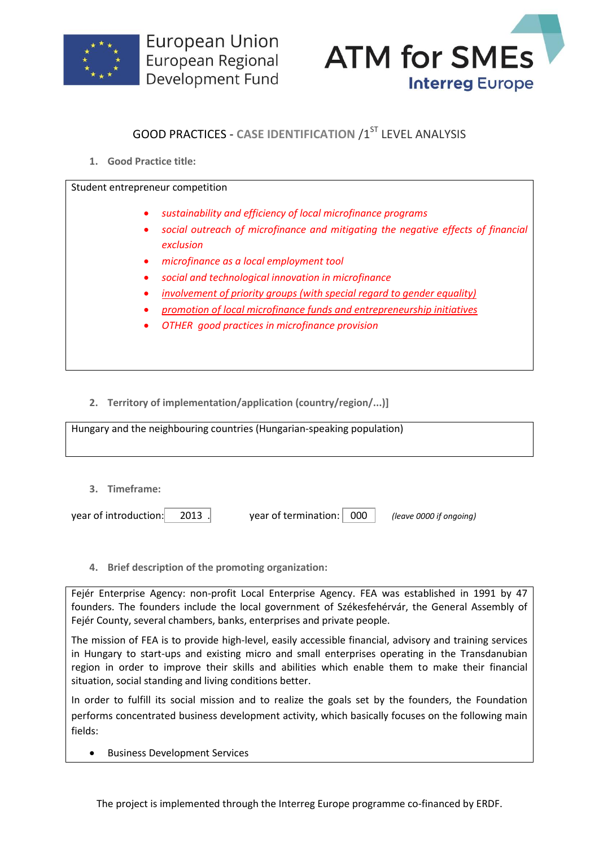



## **GOOD PRACTICES - CASE IDENTIFICATION /1ST LEVEL ANALYSIS**

**1. Good Practice title:**

Student entrepreneur competition

- *sustainability and efficiency of local microfinance programs*
- *social outreach of microfinance and mitigating the negative effects of financial exclusion*
- *microfinance as a local employment tool*
- *social and technological innovation in microfinance*
- *involvement of priority groups (with special regard to gender equality)*
- *promotion of local microfinance funds and entrepreneurship initiatives*
- *OTHER good practices in microfinance provision*

**2. Territory of implementation/application (country/region/...)]**

Hungary and the neighbouring countries (Hungarian-speaking population)

**3. Timeframe:**

year of introduction: 2013 . year of termination: 000 *(leave 0000 if ongoing)*

**4. Brief description of the promoting organization:**

Fejér Enterprise Agency: non-profit Local Enterprise Agency. FEA was established in 1991 by 47 founders. The founders include the local government of Székesfehérvár, the General Assembly of Fejér County, several chambers, banks, enterprises and private people.

The mission of FEA is to provide high-level, easily accessible financial, advisory and training services in Hungary to start-ups and existing micro and small enterprises operating in the Transdanubian region in order to improve their skills and abilities which enable them to make their financial situation, social standing and living conditions better.

In order to fulfill its social mission and to realize the goals set by the founders, the Foundation performs concentrated business development activity, which basically focuses on the following main fields:

Business Development Services

The project is implemented through the Interreg Europe programme co-financed by ERDF.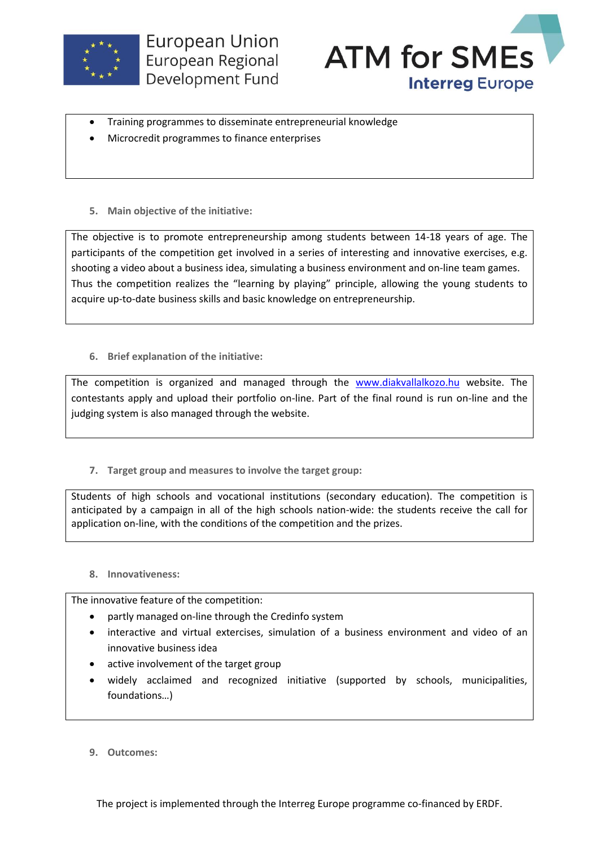



- Training programmes to disseminate entrepreneurial knowledge
- Microcredit programmes to finance enterprises
- **5. Main objective of the initiative:**

The objective is to promote entrepreneurship among students between 14-18 years of age. The participants of the competition get involved in a series of interesting and innovative exercises, e.g. shooting a video about a business idea, simulating a business environment and on-line team games. Thus the competition realizes the "learning by playing" principle, allowing the young students to acquire up-to-date business skills and basic knowledge on entrepreneurship.

**6. Brief explanation of the initiative:**

The competition is organized and managed through the [www.diakvallalkozo.hu](http://www.diakvallalkozo.hu/) website. The contestants apply and upload their portfolio on-line. Part of the final round is run on-line and the judging system is also managed through the website.

**7. Target group and measures to involve the target group:**

Students of high schools and vocational institutions (secondary education). The competition is anticipated by a campaign in all of the high schools nation-wide: the students receive the call for application on-line, with the conditions of the competition and the prizes.

**8. Innovativeness:**

The innovative feature of the competition:

- partly managed on-line through the Credinfo system
- interactive and virtual extercises, simulation of a business environment and video of an innovative business idea
- active involvement of the target group
- widely acclaimed and recognized initiative (supported by schools, municipalities, foundations…)
- **9. Outcomes:**

The project is implemented through the Interreg Europe programme co-financed by ERDF.